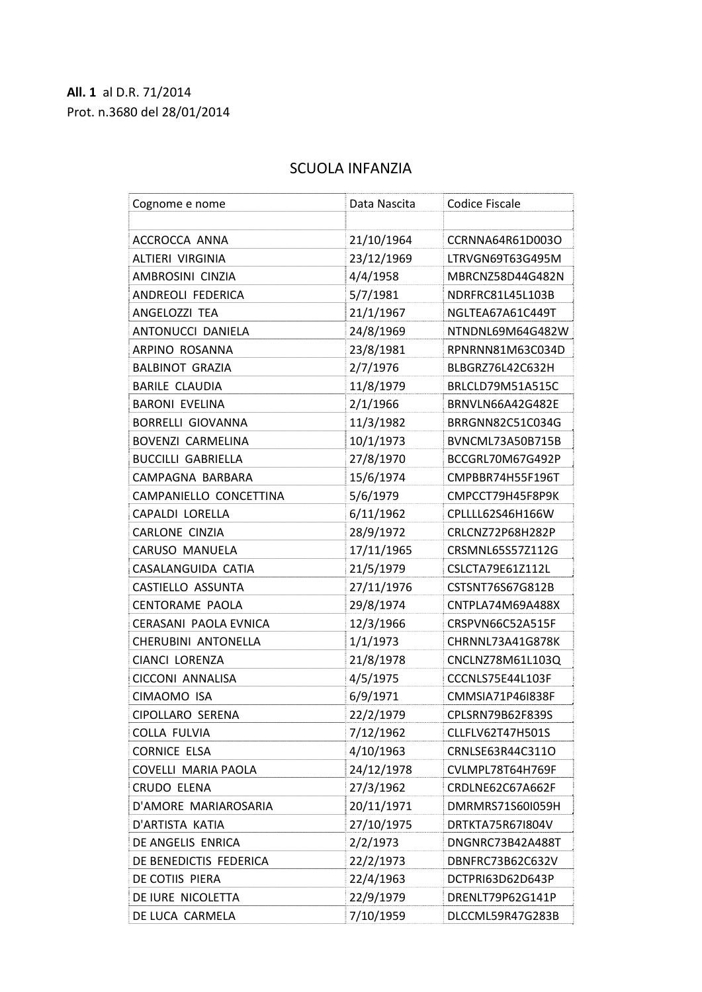## **All. 1** al D.R. 71/2014 Prot. n.3680 del 28/01/2014

## SCUOLA INFANZIA

| Cognome e nome             | Data Nascita | <b>Codice Fiscale</b> |
|----------------------------|--------------|-----------------------|
|                            |              |                       |
| ACCROCCA ANNA              | 21/10/1964   | CCRNNA64R61D003O      |
| ALTIERI VIRGINIA           | 23/12/1969   | LTRVGN69T63G495M      |
| AMBROSINI CINZIA           | 4/4/1958     | MBRCNZ58D44G482N      |
| ANDREOLI FEDERICA          | 5/7/1981     | NDRFRC81L45L103B      |
| ANGELOZZI TEA              | 21/1/1967    | NGLTEA67A61C449T      |
| ANTONUCCI DANIELA          | 24/8/1969    | NTNDNL69M64G482W      |
| ARPINO ROSANNA             | 23/8/1981    | RPNRNN81M63C034D      |
| <b>BALBINOT GRAZIA</b>     | 2/7/1976     | BLBGRZ76L42C632H      |
| <b>BARILE CLAUDIA</b>      | 11/8/1979    | BRLCLD79M51A515C      |
| <b>BARONI EVELINA</b>      | 2/1/1966     | BRNVLN66A42G482E      |
| <b>BORRELLI GIOVANNA</b>   | 11/3/1982    | BRRGNN82C51C034G      |
| <b>BOVENZI CARMELINA</b>   | 10/1/1973    | BVNCML73A50B715B      |
| <b>BUCCILLI GABRIELLA</b>  | 27/8/1970    | BCCGRL70M67G492P      |
| CAMPAGNA BARBARA           | 15/6/1974    | CMPBBR74H55F196T      |
| CAMPANIELLO CONCETTINA     | 5/6/1979     | CMPCCT79H45F8P9K      |
| CAPALDI LORELLA            | 6/11/1962    | CPLLLL62S46H166W      |
| <b>CARLONE CINZIA</b>      | 28/9/1972    | CRLCNZ72P68H282P      |
| CARUSO MANUELA             | 17/11/1965   | CRSMNL65S57Z112G      |
| CASALANGUIDA CATIA         | 21/5/1979    | CSLCTA79E61Z112L      |
| CASTIELLO ASSUNTA          | 27/11/1976   | CSTSNT76S67G812B      |
| <b>CENTORAME PAOLA</b>     | 29/8/1974    | CNTPLA74M69A488X      |
| CERASANI PAOLA EVNICA      | 12/3/1966    | CRSPVN66C52A515F      |
| CHERUBINI ANTONELLA        | 1/1/1973     | CHRNNL73A41G878K      |
| CIANCI LORENZA             | 21/8/1978    | CNCLNZ78M61L103Q      |
| CICCONI ANNALISA           | 4/5/1975     | CCCNLS75E44L103F      |
| CIMAOMO ISA                | 6/9/1971     | CMMSIA71P46I838F      |
| CIPOLLARO SERENA           | 22/2/1979    | CPLSRN79B62F839S      |
| COLLA FULVIA               | 7/12/1962    | CLLFLV62T47H501S      |
| <b>CORNICE ELSA</b>        | 4/10/1963    | CRNLSE63R44C311O      |
| <b>COVELLI MARIA PAOLA</b> | 24/12/1978   | CVLMPL78T64H769F      |
| CRUDO ELENA                | 27/3/1962    | CRDLNE62C67A662F      |
| D'AMORE MARIAROSARIA       | 20/11/1971   | DMRMRS71S60I059H      |
| D'ARTISTA KATIA            | 27/10/1975   | DRTKTA75R67I804V      |
| DE ANGELIS ENRICA          | 2/2/1973     | DNGNRC73B42A488T      |
| DE BENEDICTIS FEDERICA     | 22/2/1973    | DBNFRC73B62C632V      |
| DE COTIIS PIERA            | 22/4/1963    | DCTPRI63D62D643P      |
| DE IURE NICOLETTA          | 22/9/1979    | DRENLT79P62G141P      |
| DE LUCA CARMELA            | 7/10/1959    | DLCCML59R47G283B      |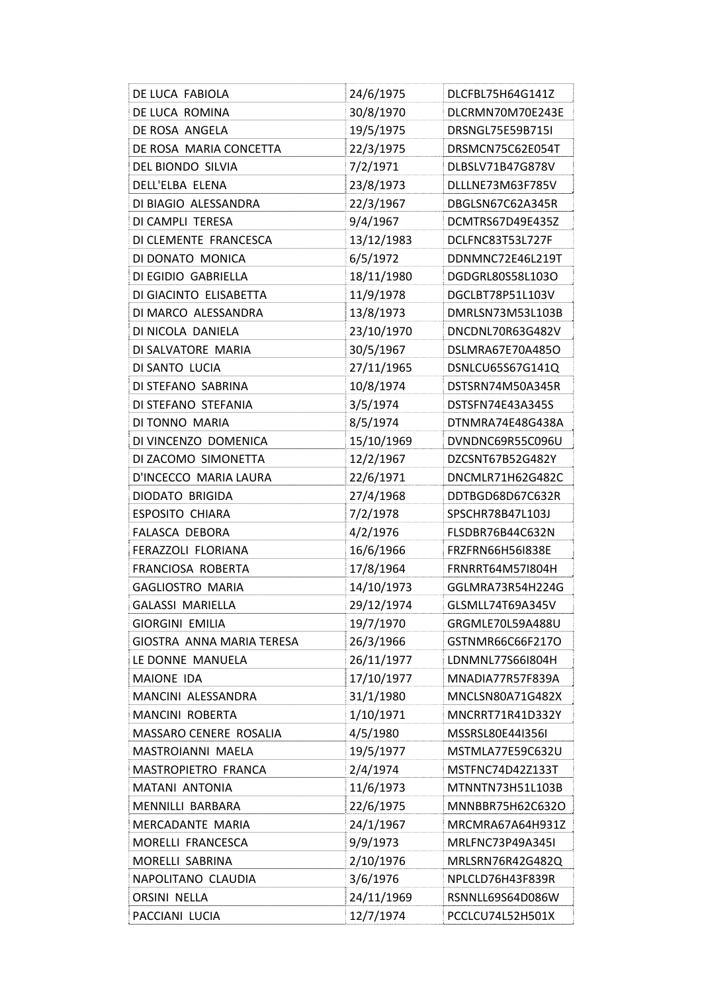| DE LUCA FABIOLA           | 24/6/1975  | DLCFBL75H64G141Z |
|---------------------------|------------|------------------|
| DE LUCA ROMINA            | 30/8/1970  | DLCRMN70M70E243E |
| DE ROSA ANGELA            | 19/5/1975  | DRSNGL75E59B715I |
| DE ROSA MARIA CONCETTA    | 22/3/1975  | DRSMCN75C62E054T |
| DEL BIONDO SILVIA         | 7/2/1971   | DLBSLV71B47G878V |
| DELL'ELBA ELENA           | 23/8/1973  | DLLLNE73M63F785V |
| DI BIAGIO ALESSANDRA      | 22/3/1967  | DBGLSN67C62A345R |
| DI CAMPLI TERESA          | 9/4/1967   | DCMTRS67D49E435Z |
| DI CLEMENTE FRANCESCA     | 13/12/1983 | DCLFNC83T53L727F |
| DI DONATO MONICA          | 6/5/1972   | DDNMNC72E46L219T |
| DI EGIDIO GABRIELLA       | 18/11/1980 | DGDGRL80S58L103O |
| DI GIACINTO ELISABETTA    | 11/9/1978  | DGCLBT78P51L103V |
| DI MARCO ALESSANDRA       | 13/8/1973  | DMRLSN73M53L103B |
| DI NICOLA DANIELA         | 23/10/1970 | DNCDNL70R63G482V |
| DI SALVATORE MARIA        | 30/5/1967  | DSLMRA67E70A485O |
| DI SANTO LUCIA            | 27/11/1965 | DSNLCU65S67G141Q |
| DI STEFANO SABRINA        | 10/8/1974  | DSTSRN74M50A345R |
| DI STEFANO STEFANIA       | 3/5/1974   | DSTSFN74E43A345S |
| DI TONNO MARIA            | 8/5/1974   | DTNMRA74E48G438A |
| DI VINCENZO DOMENICA      | 15/10/1969 | DVNDNC69R55C096U |
| DI ZACOMO SIMONETTA       | 12/2/1967  | DZCSNT67B52G482Y |
| D'INCECCO MARIA LAURA     | 22/6/1971  | DNCMLR71H62G482C |
| DIODATO BRIGIDA           | 27/4/1968  | DDTBGD68D67C632R |
| <b>ESPOSITO CHIARA</b>    | 7/2/1978   | SPSCHR78B47L103J |
| FALASCA DEBORA            | 4/2/1976   | FLSDBR76B44C632N |
| FERAZZOLI FLORIANA        | 16/6/1966  | FRZFRN66H56I838E |
| FRANCIOSA ROBERTA         | 17/8/1964  | FRNRRT64M57I804H |
| <b>GAGLIOSTRO MARIA</b>   | 14/10/1973 | GGLMRA73R54H224G |
| <b>GALASSI MARIELLA</b>   | 29/12/1974 | GLSMLL74T69A345V |
| <b>GIORGINI EMILIA</b>    | 19/7/1970  | GRGMLE70L59A488U |
| GIOSTRA ANNA MARIA TERESA | 26/3/1966  | GSTNMR66C66F217O |
| LE DONNE MANUELA          | 26/11/1977 | LDNMNL77S66I804H |
| MAIONE IDA                | 17/10/1977 | MNADIA77R57F839A |
| MANCINI ALESSANDRA        | 31/1/1980  | MNCLSN80A71G482X |
| MANCINI ROBERTA           | 1/10/1971  | MNCRRT71R41D332Y |
| MASSARO CENERE ROSALIA    | 4/5/1980   | MSSRSL80E44I356I |
| MASTROIANNI MAELA         | 19/5/1977  | MSTMLA77E59C632U |
| MASTROPIETRO FRANCA       | 2/4/1974   | MSTFNC74D42Z133T |
| <b>MATANI ANTONIA</b>     | 11/6/1973  | MTNNTN73H51L103B |
| MENNILLI BARBARA          | 22/6/1975  | MNNBBR75H62C632O |
| MERCADANTE MARIA          | 24/1/1967  | MRCMRA67A64H931Z |
| MORELLI FRANCESCA         | 9/9/1973   | MRLFNC73P49A345I |
| MORELLI SABRINA           | 2/10/1976  | MRLSRN76R42G482Q |
| NAPOLITANO CLAUDIA        | 3/6/1976   | NPLCLD76H43F839R |
| <b>ORSINI NELLA</b>       | 24/11/1969 | RSNNLL69S64D086W |
| PACCIANI LUCIA            | 12/7/1974  | PCCLCU74L52H501X |